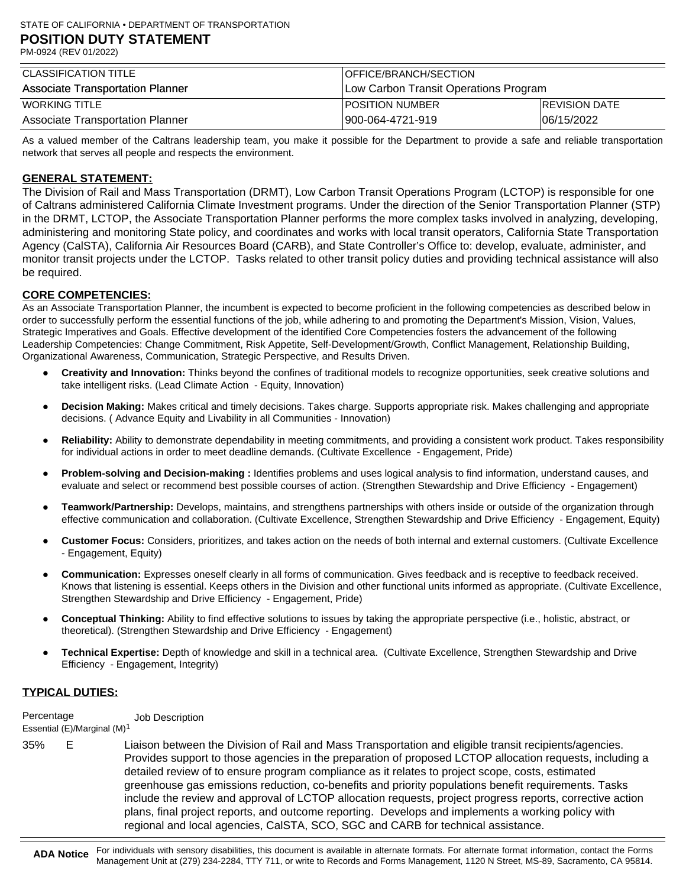| CLASSIFICATION TITLE                    | <i><b>IOFFICE/BRANCH/SECTION</b></i>  |                      |
|-----------------------------------------|---------------------------------------|----------------------|
| <b>Associate Transportation Planner</b> | Low Carbon Transit Operations Program |                      |
| <b>WORKING TITLE</b>                    | IPOSITION NUMBER                      | <b>REVISION DATE</b> |
| Associate Transportation Planner        | 900-064-4721-919                      | 06/15/2022           |

As a valued member of the Caltrans leadership team, you make it possible for the Department to provide a safe and reliable transportation network that serves all people and respects the environment.

# **GENERAL STATEMENT:**

The Division of Rail and Mass Transportation (DRMT), Low Carbon Transit Operations Program (LCTOP) is responsible for one of Caltrans administered California Climate Investment programs. Under the direction of the Senior Transportation Planner (STP) in the DRMT, LCTOP, the Associate Transportation Planner performs the more complex tasks involved in analyzing, developing, administering and monitoring State policy, and coordinates and works with local transit operators, California State Transportation Agency (CalSTA), California Air Resources Board (CARB), and State Controller's Office to: develop, evaluate, administer, and monitor transit projects under the LCTOP. Tasks related to other transit policy duties and providing technical assistance will also be required.

#### **CORE COMPETENCIES:**

As an Associate Transportation Planner, the incumbent is expected to become proficient in the following competencies as described below in order to successfully perform the essential functions of the job, while adhering to and promoting the Department's Mission, Vision, Values, Strategic Imperatives and Goals. Effective development of the identified Core Competencies fosters the advancement of the following Leadership Competencies: Change Commitment, Risk Appetite, Self-Development/Growth, Conflict Management, Relationship Building, Organizational Awareness, Communication, Strategic Perspective, and Results Driven.

- **Creativity and Innovation:** Thinks beyond the confines of traditional models to recognize opportunities, seek creative solutions and take intelligent risks. (Lead Climate Action - Equity, Innovation)
- **Decision Making:** Makes critical and timely decisions. Takes charge. Supports appropriate risk. Makes challenging and appropriate decisions. ( Advance Equity and Livability in all Communities - Innovation)
- **Reliability:** Ability to demonstrate dependability in meeting commitments, and providing a consistent work product. Takes responsibility for individual actions in order to meet deadline demands. (Cultivate Excellence - Engagement, Pride)
- **Problem-solving and Decision-making :** Identifies problems and uses logical analysis to find information, understand causes, and evaluate and select or recommend best possible courses of action. (Strengthen Stewardship and Drive Efficiency - Engagement)
- **Teamwork/Partnership:** Develops, maintains, and strengthens partnerships with others inside or outside of the organization through effective communication and collaboration. (Cultivate Excellence, Strengthen Stewardship and Drive Efficiency - Engagement, Equity)
- **Customer Focus:** Considers, prioritizes, and takes action on the needs of both internal and external customers. (Cultivate Excellence - Engagement, Equity)
- **Communication:** Expresses oneself clearly in all forms of communication. Gives feedback and is receptive to feedback received. Knows that listening is essential. Keeps others in the Division and other functional units informed as appropriate. (Cultivate Excellence, Strengthen Stewardship and Drive Efficiency - Engagement, Pride)
- **Conceptual Thinking:** Ability to find effective solutions to issues by taking the appropriate perspective (i.e., holistic, abstract, or theoretical). (Strengthen Stewardship and Drive Efficiency - Engagement)
- **Technical Expertise:** Depth of knowledge and skill in a technical area. (Cultivate Excellence, Strengthen Stewardship and Drive Efficiency - Engagement, Integrity)

### **TYPICAL DUTIES:**

**Percentage** Job Description

Essential (E)/Marginal (M)1

Liaison between the Division of Rail and Mass Transportation and eligible transit recipients/agencies. Provides support to those agencies in the preparation of proposed LCTOP allocation requests, including a detailed review of to ensure program compliance as it relates to project scope, costs, estimated greenhouse gas emissions reduction, co-benefits and priority populations benefit requirements. Tasks include the review and approval of LCTOP allocation requests, project progress reports, corrective action plans, final project reports, and outcome reporting. Develops and implements a working policy with regional and local agencies, CalSTA, SCO, SGC and CARB for technical assistance. 35% E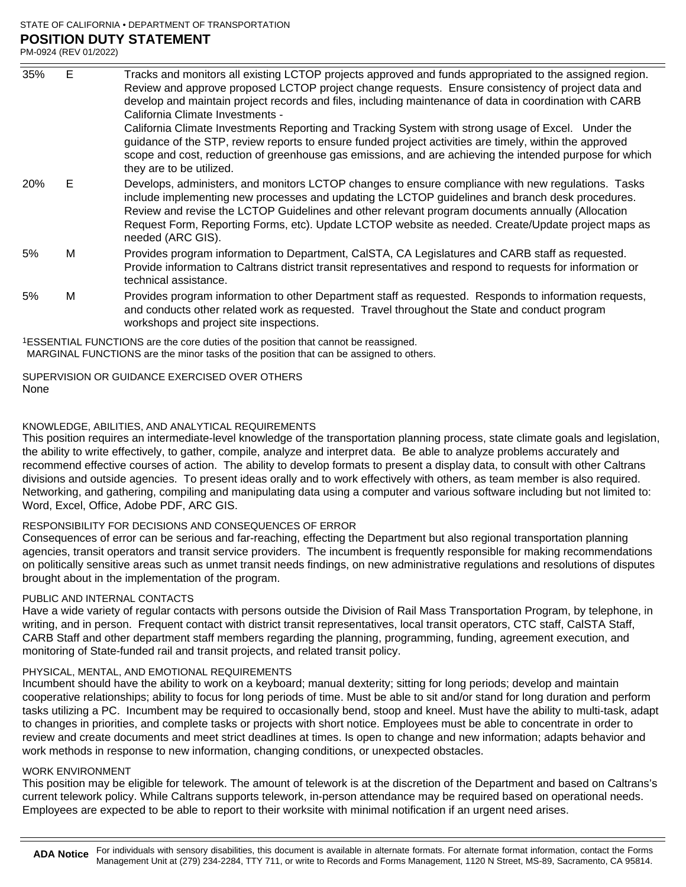## STATE OF CALIFORNIA • DEPARTMENT OF TRANSPORTATION **POSITION DUTY STATEMENT**

PM-0924 (REV 01/2022)

| 35% | E | Tracks and monitors all existing LCTOP projects approved and funds appropriated to the assigned region.                                                                                                                                                                                                                                                                                                                               |
|-----|---|---------------------------------------------------------------------------------------------------------------------------------------------------------------------------------------------------------------------------------------------------------------------------------------------------------------------------------------------------------------------------------------------------------------------------------------|
|     |   | Review and approve proposed LCTOP project change requests. Ensure consistency of project data and                                                                                                                                                                                                                                                                                                                                     |
|     |   | develop and maintain project records and files, including maintenance of data in coordination with CARB                                                                                                                                                                                                                                                                                                                               |
|     |   | California Climate Investments -                                                                                                                                                                                                                                                                                                                                                                                                      |
|     |   | California Climate Investments Reporting and Tracking System with strong usage of Excel. Under the                                                                                                                                                                                                                                                                                                                                    |
|     |   | guidance of the STP, review reports to ensure funded project activities are timely, within the approved                                                                                                                                                                                                                                                                                                                               |
|     |   | scope and cost, reduction of greenhouse gas emissions, and are achieving the intended purpose for which<br>they are to be utilized.                                                                                                                                                                                                                                                                                                   |
| 20% | Е | Develops, administers, and monitors LCTOP changes to ensure compliance with new regulations. Tasks<br>include implementing new processes and updating the LCTOP guidelines and branch desk procedures.<br>Review and revise the LCTOP Guidelines and other relevant program documents annually (Allocation<br>Request Form, Reporting Forms, etc). Update LCTOP website as needed. Create/Update project maps as<br>needed (ARC GIS). |
|     |   |                                                                                                                                                                                                                                                                                                                                                                                                                                       |
| 5%  | м | Provides program information to Department, CalSTA, CA Legislatures and CARB staff as requested.<br>Provide information to Caltrans district transit representatives and respond to requests for information or<br>technical assistance.                                                                                                                                                                                              |
| 5%  | м | Provides program information to other Department staff as requested. Responds to information requests,<br>and conducts other related work as requested. Travel throughout the State and conduct program<br>workshops and project site inspections.                                                                                                                                                                                    |

1ESSENTIAL FUNCTIONS are the core duties of the position that cannot be reassigned. MARGINAL FUNCTIONS are the minor tasks of the position that can be assigned to others.

None SUPERVISION OR GUIDANCE EXERCISED OVER OTHERS

### KNOWLEDGE, ABILITIES, AND ANALYTICAL REQUIREMENTS

This position requires an intermediate-level knowledge of the transportation planning process, state climate goals and legislation, the ability to write effectively, to gather, compile, analyze and interpret data. Be able to analyze problems accurately and recommend effective courses of action. The ability to develop formats to present a display data, to consult with other Caltrans divisions and outside agencies. To present ideas orally and to work effectively with others, as team member is also required. Networking, and gathering, compiling and manipulating data using a computer and various software including but not limited to: Word, Excel, Office, Adobe PDF, ARC GIS.

### RESPONSIBILITY FOR DECISIONS AND CONSEQUENCES OF ERROR

Consequences of error can be serious and far-reaching, effecting the Department but also regional transportation planning agencies, transit operators and transit service providers. The incumbent is frequently responsible for making recommendations on politically sensitive areas such as unmet transit needs findings, on new administrative regulations and resolutions of disputes brought about in the implementation of the program.

### PUBLIC AND INTERNAL CONTACTS

Have a wide variety of regular contacts with persons outside the Division of Rail Mass Transportation Program, by telephone, in writing, and in person. Frequent contact with district transit representatives, local transit operators, CTC staff, CalSTA Staff, CARB Staff and other department staff members regarding the planning, programming, funding, agreement execution, and monitoring of State-funded rail and transit projects, and related transit policy.

### PHYSICAL, MENTAL, AND EMOTIONAL REQUIREMENTS

Incumbent should have the ability to work on a keyboard; manual dexterity; sitting for long periods; develop and maintain cooperative relationships; ability to focus for long periods of time. Must be able to sit and/or stand for long duration and perform tasks utilizing a PC. Incumbent may be required to occasionally bend, stoop and kneel. Must have the ability to multi-task, adapt to changes in priorities, and complete tasks or projects with short notice. Employees must be able to concentrate in order to review and create documents and meet strict deadlines at times. Is open to change and new information; adapts behavior and work methods in response to new information, changing conditions, or unexpected obstacles.

### WORK ENVIRONMENT

This position may be eligible for telework. The amount of telework is at the discretion of the Department and based on Caltrans's current telework policy. While Caltrans supports telework, in-person attendance may be required based on operational needs. Employees are expected to be able to report to their worksite with minimal notification if an urgent need arises.